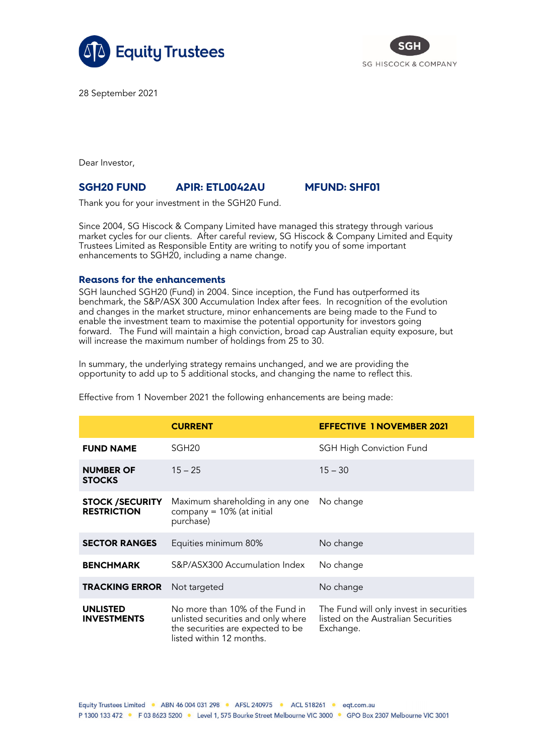



28 September 2021

Dear Investor,

## **SGH20 FUND APIR: ETL0042AU MFUND: SHF01**

Thank you for your investment in the SGH20 Fund.

Since 2004, SG Hiscock & Company Limited have managed this strategy through various market cycles for our clients. After careful review, SG Hiscock & Company Limited and Equity Trustees Limited as Responsible Entity are writing to notify you of some important enhancements to SGH20, including a name change.

## **Reasons for the enhancements**

SGH launched SGH20 (Fund) in 2004. Since inception, the Fund has outperformed its benchmark, the S&P/ASX 300 Accumulation Index after fees. In recognition of the evolution and changes in the market structure, minor enhancements are being made to the Fund to enable the investment team to maximise the potential opportunity for investors going forward. The Fund will maintain a high conviction, broad cap Australian equity exposure, but will increase the maximum number of holdings from 25 to 30.

In summary, the underlying strategy remains unchanged, and we are providing the opportunity to add up to 5 additional stocks, and changing the name to reflect this.

|                                              | <b>CURRENT</b>                                                                                                                         | <b>EFFECTIVE 1 NOVEMBER 2021</b>                                                            |
|----------------------------------------------|----------------------------------------------------------------------------------------------------------------------------------------|---------------------------------------------------------------------------------------------|
| <b>FUND NAME</b>                             | SGH <sub>20</sub>                                                                                                                      | <b>SGH High Conviction Fund</b>                                                             |
| <b>NUMBER OF</b><br><b>STOCKS</b>            | $15 - 25$                                                                                                                              | $15 - 30$                                                                                   |
| <b>STOCK /SECURITY</b><br><b>RESTRICTION</b> | Maximum shareholding in any one<br>company = 10% (at initial<br>purchase)                                                              | No change                                                                                   |
| <b>SECTOR RANGES</b>                         | Equities minimum 80%                                                                                                                   | No change                                                                                   |
| <b>BENCHMARK</b>                             | S&P/ASX300 Accumulation Index                                                                                                          | No change                                                                                   |
| <b>TRACKING ERROR</b>                        | Not targeted                                                                                                                           | No change                                                                                   |
| <b>UNLISTED</b><br><b>INVESTMENTS</b>        | No more than 10% of the Fund in<br>unlisted securities and only where<br>the securities are expected to be<br>listed within 12 months. | The Fund will only invest in securities<br>listed on the Australian Securities<br>Exchange. |

Effective from 1 November 2021 the following enhancements are being made: